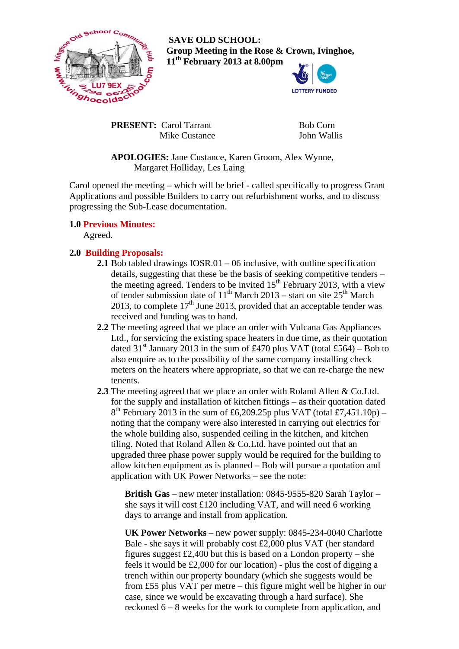

 **SAVE OLD SCHOOL: Group Meeting in the Rose & Crown, Ivinghoe, 11th February 2013 at 8.00pm** 



**PRESENT:** Carol Tarrant Mike Custance  Bob Corn John Wallis

 **APOLOGIES:** Jane Custance, Karen Groom, Alex Wynne, Margaret Holliday, Les Laing

Carol opened the meeting – which will be brief - called specifically to progress Grant Applications and possible Builders to carry out refurbishment works, and to discuss progressing the Sub-Lease documentation.

## **1.0 Previous Minutes:**

Agreed.

## **2.0 Building Proposals:**

- **2.1** Bob tabled drawings IOSR.01 06 inclusive, with outline specification details, suggesting that these be the basis of seeking competitive tenders – the meeting agreed. Tenders to be invited  $15<sup>th</sup>$  February 2013, with a view of tender submission date of  $11^{th}$  March 2013 – start on site  $25^{th}$  March 2013, to complete  $17<sup>th</sup>$  June 2013, provided that an acceptable tender was received and funding was to hand.
- **2.2** The meeting agreed that we place an order with Vulcana Gas Appliances Ltd., for servicing the existing space heaters in due time, as their quotation dated 31<sup>st</sup> January 2013 in the sum of £470 plus VAT (total £564) – Bob to also enquire as to the possibility of the same company installing check meters on the heaters where appropriate, so that we can re-charge the new tenents.
- **2.3** The meeting agreed that we place an order with Roland Allen & Co.Ltd. for the supply and installation of kitchen fittings – as their quotation dated  $8<sup>th</sup>$  February 2013 in the sum of £6,209.25p plus VAT (total £7,451.10p) – noting that the company were also interested in carrying out electrics for the whole building also, suspended ceiling in the kitchen, and kitchen tiling. Noted that Roland Allen & Co.Ltd. have pointed out that an upgraded three phase power supply would be required for the building to allow kitchen equipment as is planned – Bob will pursue a quotation and application with UK Power Networks – see the note:

**British Gas** – new meter installation: 0845-9555-820 Sarah Taylor – she says it will cost £120 including VAT, and will need 6 working days to arrange and install from application.

**UK Power Networks** – new power supply: 0845-234-0040 Charlotte Bale - she says it will probably cost £2,000 plus VAT (her standard figures suggest  $\text{\pounds}2,400$  but this is based on a London property – she feels it would be £2,000 for our location) - plus the cost of digging a trench within our property boundary (which she suggests would be from £55 plus VAT per metre – this figure might well be higher in our case, since we would be excavating through a hard surface). She reckoned 6 – 8 weeks for the work to complete from application, and